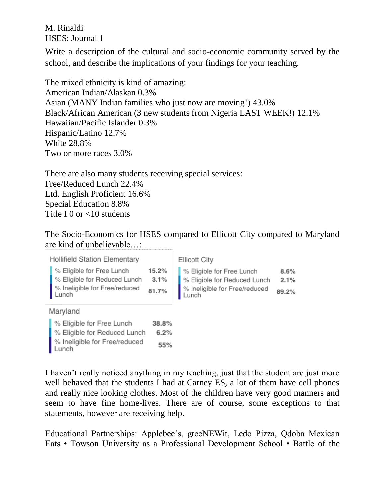M. Rinaldi HSES: Journal 1

Write a description of the cultural and socio-economic community served by the school, and describe the implications of your findings for your teaching.

The mixed ethnicity is kind of amazing: American Indian/Alaskan 0.3% Asian (MANY Indian families who just now are moving!) 43.0% Black/African American (3 new students from Nigeria LAST WEEK!) 12.1% Hawaiian/Pacific Islander 0.3% Hispanic/Latino 12.7% White 28.8% Two or more races 3.0%

There are also many students receiving special services: Free/Reduced Lunch 22.4% Ltd. English Proficient 16.6% Special Education 8.8% Title I 0 or <10 students

The Socio-Economics for HSES compared to Ellicott City compared to Maryland are kind of unbelievable…:

**Hollifield Station Elementary** 

| Ellicott City |  |  |
|---------------|--|--|
|---------------|--|--|

| % Eligible for Free Lunch              | 15.2% | %       |
|----------------------------------------|-------|---------|
| % Eligible for Reduced Lunch           | 3.1%  | %       |
| % Ineligible for Free/reduced<br>Lunch | 81.7% | ℀<br>Lι |

Maryland

| % Eligible for Free Lunch              | 38.8% |
|----------------------------------------|-------|
| % Eligible for Reduced Lunch           | 6.2%  |
| % Ineligible for Free/reduced<br>Lunch | 55%   |

## 6 Eligible for Free Lunch 8.6% Eligible for Reduced Lunch  $2.1%$ Ineligible for Free/reduced 89.2% unch

I haven't really noticed anything in my teaching, just that the student are just more well behaved that the students I had at Carney ES, a lot of them have cell phones and really nice looking clothes. Most of the children have very good manners and seem to have fine home-lives. There are of course, some exceptions to that statements, however are receiving help.

Educational Partnerships: Applebee's, greeNEWit, Ledo Pizza, Qdoba Mexican Eats • Towson University as a Professional Development School • Battle of the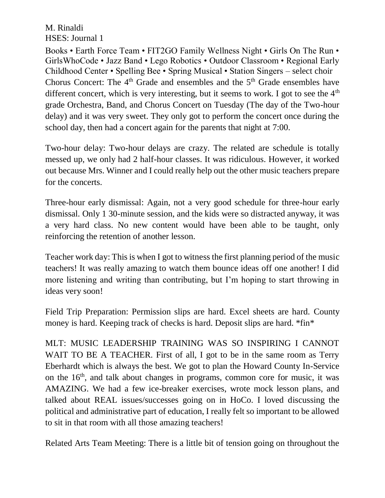M. Rinaldi HSES: Journal 1

Books • Earth Force Team • FIT2GO Family Wellness Night • Girls On The Run • GirlsWhoCode • Jazz Band • Lego Robotics • Outdoor Classroom • Regional Early Childhood Center • Spelling Bee • Spring Musical • Station Singers – select choir Chorus Concert: The  $4<sup>th</sup>$  Grade and ensembles and the  $5<sup>th</sup>$  Grade ensembles have different concert, which is very interesting, but it seems to work. I got to see the  $4<sup>th</sup>$ grade Orchestra, Band, and Chorus Concert on Tuesday (The day of the Two-hour delay) and it was very sweet. They only got to perform the concert once during the school day, then had a concert again for the parents that night at 7:00.

Two-hour delay: Two-hour delays are crazy. The related are schedule is totally messed up, we only had 2 half-hour classes. It was ridiculous. However, it worked out because Mrs. Winner and I could really help out the other music teachers prepare for the concerts.

Three-hour early dismissal: Again, not a very good schedule for three-hour early dismissal. Only 1 30-minute session, and the kids were so distracted anyway, it was a very hard class. No new content would have been able to be taught, only reinforcing the retention of another lesson.

Teacher work day: This is when I got to witness the first planning period of the music teachers! It was really amazing to watch them bounce ideas off one another! I did more listening and writing than contributing, but I'm hoping to start throwing in ideas very soon!

Field Trip Preparation: Permission slips are hard. Excel sheets are hard. County money is hard. Keeping track of checks is hard. Deposit slips are hard. \*fin\*

MLT: MUSIC LEADERSHIP TRAINING WAS SO INSPIRING I CANNOT WAIT TO BE A TEACHER. First of all, I got to be in the same room as Terry Eberhardt which is always the best. We got to plan the Howard County In-Service on the  $16<sup>th</sup>$ , and talk about changes in programs, common core for music, it was AMAZING. We had a few ice-breaker exercises, wrote mock lesson plans, and talked about REAL issues/successes going on in HoCo. I loved discussing the political and administrative part of education, I really felt so important to be allowed to sit in that room with all those amazing teachers!

Related Arts Team Meeting: There is a little bit of tension going on throughout the